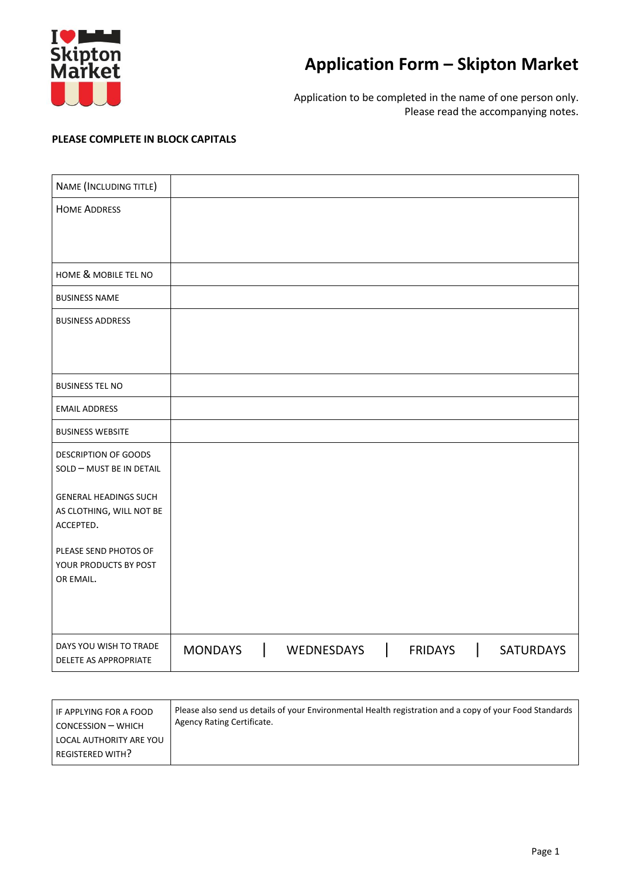

## **Application Form – Skipton Market**

Application to be completed in the name of one person only. Please read the accompanying notes.

## **PLEASE COMPLETE IN BLOCK CAPITALS**

| NAME (INCLUDING TITLE)                |                |                   |                |   |                  |
|---------------------------------------|----------------|-------------------|----------------|---|------------------|
| <b>HOME ADDRESS</b>                   |                |                   |                |   |                  |
|                                       |                |                   |                |   |                  |
|                                       |                |                   |                |   |                  |
| HOME & MOBILE TEL NO                  |                |                   |                |   |                  |
| <b>BUSINESS NAME</b>                  |                |                   |                |   |                  |
| <b>BUSINESS ADDRESS</b>               |                |                   |                |   |                  |
|                                       |                |                   |                |   |                  |
|                                       |                |                   |                |   |                  |
| <b>BUSINESS TEL NO</b>                |                |                   |                |   |                  |
| <b>EMAIL ADDRESS</b>                  |                |                   |                |   |                  |
| <b>BUSINESS WEBSITE</b>               |                |                   |                |   |                  |
| <b>DESCRIPTION OF GOODS</b>           |                |                   |                |   |                  |
| SOLD - MUST BE IN DETAIL              |                |                   |                |   |                  |
| <b>GENERAL HEADINGS SUCH</b>          |                |                   |                |   |                  |
| AS CLOTHING, WILL NOT BE<br>ACCEPTED. |                |                   |                |   |                  |
| PLEASE SEND PHOTOS OF                 |                |                   |                |   |                  |
| YOUR PRODUCTS BY POST                 |                |                   |                |   |                  |
| OR EMAIL.                             |                |                   |                |   |                  |
|                                       |                |                   |                |   |                  |
| DAYS YOU WISH TO TRADE                | <b>MONDAYS</b> | <b>WEDNESDAYS</b> | <b>FRIDAYS</b> | L | <b>SATURDAYS</b> |
| DELETE AS APPROPRIATE                 |                |                   |                |   |                  |

| IF APPLYING FOR A FOOD                             | Please also send us details of your Environmental Health registration and a copy of your Food Standards |
|----------------------------------------------------|---------------------------------------------------------------------------------------------------------|
| CONCESSION - WHICH                                 | Agency Rating Certificate.                                                                              |
| LOCAL AUTHORITY ARE YOU<br><b>REGISTERED WITH?</b> |                                                                                                         |